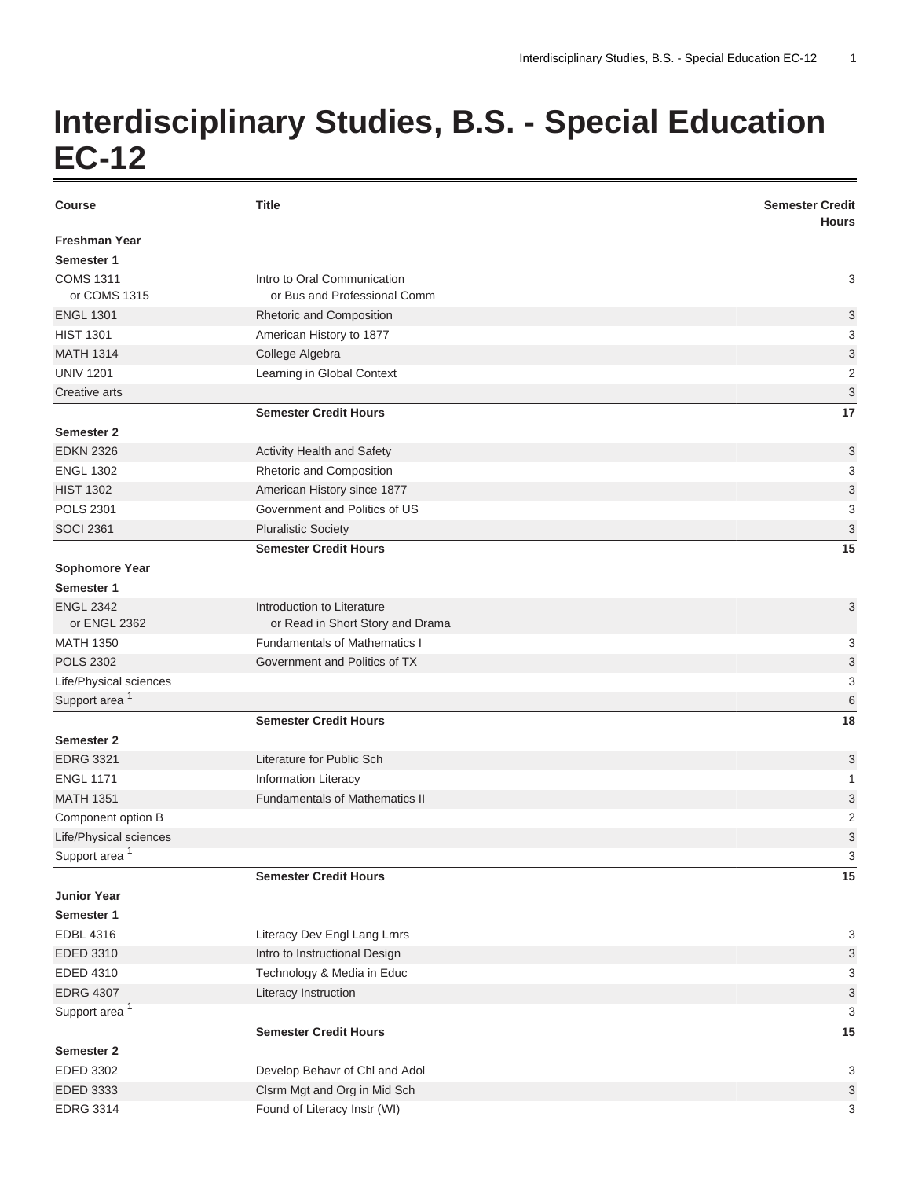## **Interdisciplinary Studies, B.S. - Special Education EC-12**

| <b>Course</b>                    | <b>Title</b>                                                   | <b>Semester Credit</b><br><b>Hours</b> |
|----------------------------------|----------------------------------------------------------------|----------------------------------------|
| <b>Freshman Year</b>             |                                                                |                                        |
| Semester 1                       |                                                                |                                        |
| <b>COMS 1311</b>                 | Intro to Oral Communication                                    | 3                                      |
| or COMS 1315                     | or Bus and Professional Comm                                   |                                        |
| <b>ENGL 1301</b>                 | Rhetoric and Composition                                       | 3                                      |
| <b>HIST 1301</b>                 | American History to 1877                                       | 3                                      |
| <b>MATH 1314</b>                 | College Algebra                                                | 3                                      |
| <b>UNIV 1201</b>                 | Learning in Global Context                                     | $\overline{2}$                         |
| Creative arts                    |                                                                | $\ensuremath{\mathsf{3}}$              |
|                                  | <b>Semester Credit Hours</b>                                   | 17                                     |
| Semester 2                       |                                                                |                                        |
| <b>EDKN 2326</b>                 | Activity Health and Safety                                     | 3                                      |
| <b>ENGL 1302</b>                 | Rhetoric and Composition                                       | 3                                      |
| <b>HIST 1302</b>                 | American History since 1877                                    | $\ensuremath{\mathsf{3}}$              |
| <b>POLS 2301</b>                 | Government and Politics of US                                  | 3                                      |
| <b>SOCI 2361</b>                 | <b>Pluralistic Society</b>                                     | 3                                      |
|                                  | <b>Semester Credit Hours</b>                                   | 15                                     |
| Sophomore Year                   |                                                                |                                        |
| Semester 1                       |                                                                |                                        |
| <b>ENGL 2342</b><br>or ENGL 2362 | Introduction to Literature<br>or Read in Short Story and Drama | 3                                      |
| <b>MATH 1350</b>                 | <b>Fundamentals of Mathematics I</b>                           | 3                                      |
| <b>POLS 2302</b>                 | Government and Politics of TX                                  | 3                                      |
| Life/Physical sciences           |                                                                | 3                                      |
| Support area <sup>1</sup>        |                                                                | 6                                      |
|                                  | <b>Semester Credit Hours</b>                                   | 18                                     |
| Semester 2                       |                                                                |                                        |
| <b>EDRG 3321</b>                 | Literature for Public Sch                                      | 3                                      |
| <b>ENGL 1171</b>                 | <b>Information Literacy</b>                                    | 1                                      |
| <b>MATH 1351</b>                 | <b>Fundamentals of Mathematics II</b>                          | 3                                      |
| Component option B               |                                                                | 2                                      |
| Life/Physical sciences           |                                                                | 3                                      |
| Support area $\frac{1}{2}$       |                                                                | 3                                      |
|                                  | <b>Semester Credit Hours</b>                                   | 15                                     |
| <b>Junior Year</b>               |                                                                |                                        |
| Semester 1                       |                                                                |                                        |
| <b>EDBL 4316</b>                 | Literacy Dev Engl Lang Lrnrs                                   | 3                                      |
| EDED 3310                        | Intro to Instructional Design                                  | 3                                      |
| EDED 4310                        | Technology & Media in Educ                                     | 3                                      |
| <b>EDRG 4307</b>                 | Literacy Instruction                                           | $\ensuremath{\mathsf{3}}$              |
| Support area <sup>1</sup>        |                                                                | 3                                      |
|                                  | <b>Semester Credit Hours</b>                                   | 15                                     |
| Semester 2                       |                                                                |                                        |
| EDED 3302                        | Develop Behavr of Chl and Adol                                 | 3                                      |
| EDED 3333                        | Clsrm Mgt and Org in Mid Sch                                   | 3                                      |
| <b>EDRG 3314</b>                 | Found of Literacy Instr (WI)                                   | 3                                      |